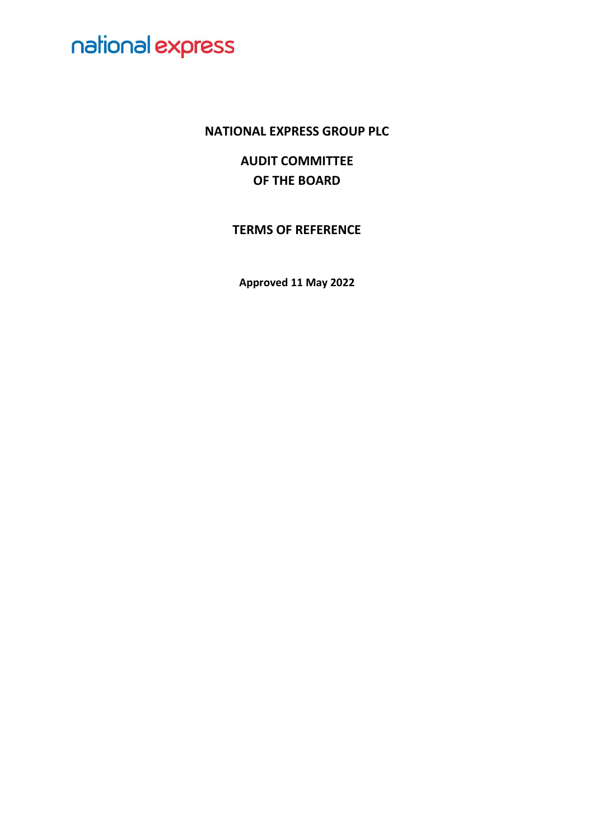### **NATIONAL EXPRESS GROUP PLC**

**AUDIT COMMITTEE OF THE BOARD**

**TERMS OF REFERENCE**

**Approved 11 May 2022**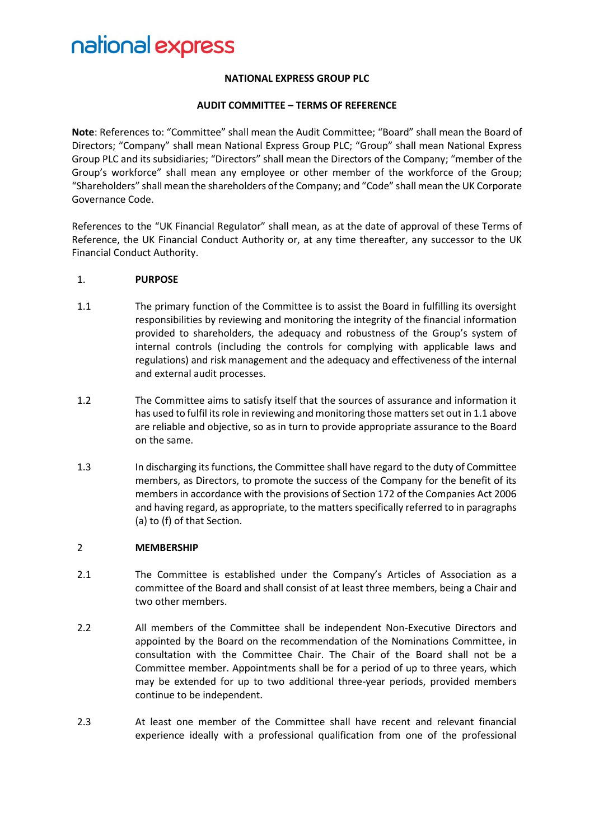#### **NATIONAL EXPRESS GROUP PLC**

#### **AUDIT COMMITTEE – TERMS OF REFERENCE**

**Note**: References to: "Committee" shall mean the Audit Committee; "Board" shall mean the Board of Directors; "Company" shall mean National Express Group PLC; "Group" shall mean National Express Group PLC and its subsidiaries; "Directors" shall mean the Directors of the Company; "member of the Group's workforce" shall mean any employee or other member of the workforce of the Group; "Shareholders" shall mean the shareholders of the Company; and "Code" shall mean the UK Corporate Governance Code.

References to the "UK Financial Regulator" shall mean, as at the date of approval of these Terms of Reference, the UK Financial Conduct Authority or, at any time thereafter, any successor to the UK Financial Conduct Authority.

#### 1. **PURPOSE**

- 1.1 The primary function of the Committee is to assist the Board in fulfilling its oversight responsibilities by reviewing and monitoring the integrity of the financial information provided to shareholders, the adequacy and robustness of the Group's system of internal controls (including the controls for complying with applicable laws and regulations) and risk management and the adequacy and effectiveness of the internal and external audit processes.
- 1.2 The Committee aims to satisfy itself that the sources of assurance and information it has used to fulfil its role in reviewing and monitoring those matters set out in 1.1 above are reliable and objective, so as in turn to provide appropriate assurance to the Board on the same.
- 1.3 In discharging its functions, the Committee shall have regard to the duty of Committee members, as Directors, to promote the success of the Company for the benefit of its members in accordance with the provisions of Section 172 of the Companies Act 2006 and having regard, as appropriate, to the matters specifically referred to in paragraphs (a) to (f) of that Section.

#### 2 **MEMBERSHIP**

- 2.1 The Committee is established under the Company's Articles of Association as a committee of the Board and shall consist of at least three members, being a Chair and two other members.
- 2.2 All members of the Committee shall be independent Non-Executive Directors and appointed by the Board on the recommendation of the Nominations Committee, in consultation with the Committee Chair. The Chair of the Board shall not be a Committee member. Appointments shall be for a period of up to three years, which may be extended for up to two additional three-year periods, provided members continue to be independent.
- 2.3 At least one member of the Committee shall have recent and relevant financial experience ideally with a professional qualification from one of the professional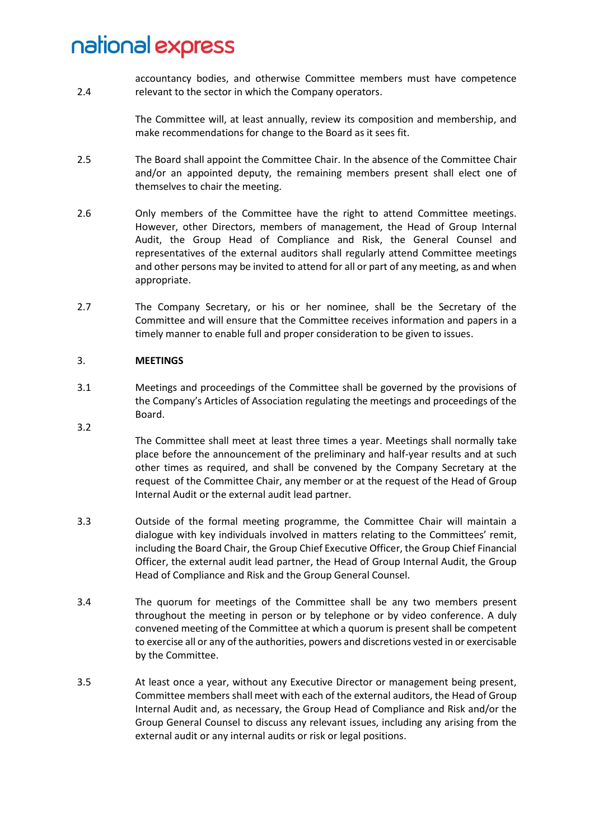2.4 accountancy bodies, and otherwise Committee members must have competence relevant to the sector in which the Company operators.

> The Committee will, at least annually, review its composition and membership, and make recommendations for change to the Board as it sees fit.

- 2.5 The Board shall appoint the Committee Chair. In the absence of the Committee Chair and/or an appointed deputy, the remaining members present shall elect one of themselves to chair the meeting.
- 2.6 Only members of the Committee have the right to attend Committee meetings. However, other Directors, members of management, the Head of Group Internal Audit, the Group Head of Compliance and Risk, the General Counsel and representatives of the external auditors shall regularly attend Committee meetings and other persons may be invited to attend for all or part of any meeting, as and when appropriate.
- 2.7 The Company Secretary, or his or her nominee, shall be the Secretary of the Committee and will ensure that the Committee receives information and papers in a timely manner to enable full and proper consideration to be given to issues.

#### 3. **MEETINGS**

3.2

- 3.1 Meetings and proceedings of the Committee shall be governed by the provisions of the Company's Articles of Association regulating the meetings and proceedings of the Board.
	- The Committee shall meet at least three times a year. Meetings shall normally take place before the announcement of the preliminary and half-year results and at such other times as required, and shall be convened by the Company Secretary at the request of the Committee Chair, any member or at the request of the Head of Group Internal Audit or the external audit lead partner.
- 3.3 Outside of the formal meeting programme, the Committee Chair will maintain a dialogue with key individuals involved in matters relating to the Committees' remit, including the Board Chair, the Group Chief Executive Officer, the Group Chief Financial Officer, the external audit lead partner, the Head of Group Internal Audit, the Group Head of Compliance and Risk and the Group General Counsel.
- 3.4 The quorum for meetings of the Committee shall be any two members present throughout the meeting in person or by telephone or by video conference. A duly convened meeting of the Committee at which a quorum is present shall be competent to exercise all or any of the authorities, powers and discretions vested in or exercisable by the Committee.
- 3.5 At least once a year, without any Executive Director or management being present, Committee members shall meet with each of the external auditors, the Head of Group Internal Audit and, as necessary, the Group Head of Compliance and Risk and/or the Group General Counsel to discuss any relevant issues, including any arising from the external audit or any internal audits or risk or legal positions.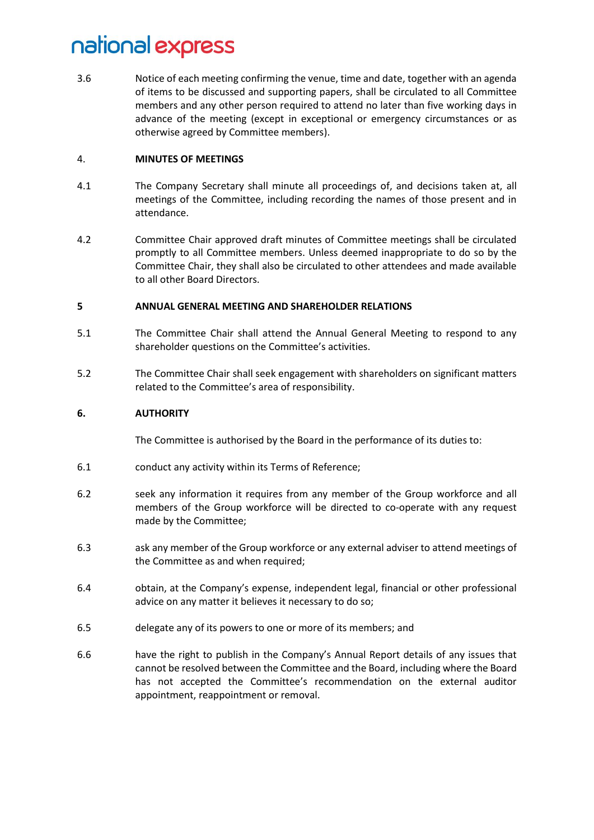3.6 Notice of each meeting confirming the venue, time and date, together with an agenda of items to be discussed and supporting papers, shall be circulated to all Committee members and any other person required to attend no later than five working days in advance of the meeting (except in exceptional or emergency circumstances or as otherwise agreed by Committee members).

#### 4. **MINUTES OF MEETINGS**

- 4.1 The Company Secretary shall minute all proceedings of, and decisions taken at, all meetings of the Committee, including recording the names of those present and in attendance.
- 4.2 Committee Chair approved draft minutes of Committee meetings shall be circulated promptly to all Committee members. Unless deemed inappropriate to do so by the Committee Chair, they shall also be circulated to other attendees and made available to all other Board Directors.

#### **5 ANNUAL GENERAL MEETING AND SHAREHOLDER RELATIONS**

- 5.1 The Committee Chair shall attend the Annual General Meeting to respond to any shareholder questions on the Committee's activities.
- 5.2 The Committee Chair shall seek engagement with shareholders on significant matters related to the Committee's area of responsibility.

#### **6. AUTHORITY**

The Committee is authorised by the Board in the performance of its duties to:

- 6.1 conduct any activity within its Terms of Reference;
- 6.2 seek any information it requires from any member of the Group workforce and all members of the Group workforce will be directed to co-operate with any request made by the Committee;
- 6.3 ask any member of the Group workforce or any external adviser to attend meetings of the Committee as and when required;
- 6.4 obtain, at the Company's expense, independent legal, financial or other professional advice on any matter it believes it necessary to do so;
- 6.5 delegate any of its powers to one or more of its members; and
- 6.6 have the right to publish in the Company's Annual Report details of any issues that cannot be resolved between the Committee and the Board, including where the Board has not accepted the Committee's recommendation on the external auditor appointment, reappointment or removal.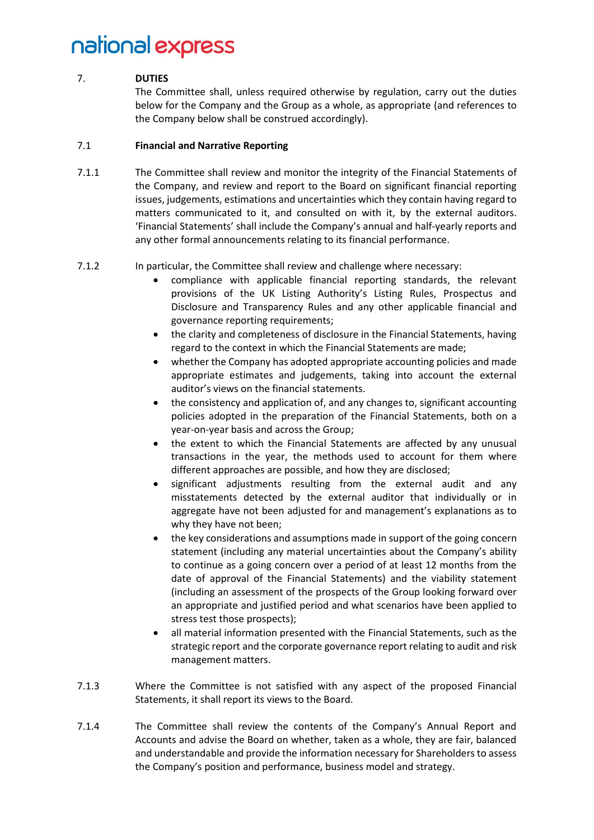#### 7. **DUTIES**

The Committee shall, unless required otherwise by regulation, carry out the duties below for the Company and the Group as a whole, as appropriate (and references to the Company below shall be construed accordingly).

#### 7.1 **Financial and Narrative Reporting**

- 7.1.1 The Committee shall review and monitor the integrity of the Financial Statements of the Company, and review and report to the Board on significant financial reporting issues, judgements, estimations and uncertainties which they contain having regard to matters communicated to it, and consulted on with it, by the external auditors. 'Financial Statements' shall include the Company's annual and half-yearly reports and any other formal announcements relating to its financial performance.
- 7.1.2 In particular, the Committee shall review and challenge where necessary:
	- compliance with applicable financial reporting standards, the relevant provisions of the UK Listing Authority's Listing Rules, Prospectus and Disclosure and Transparency Rules and any other applicable financial and governance reporting requirements;
	- the clarity and completeness of disclosure in the Financial Statements, having regard to the context in which the Financial Statements are made;
	- whether the Company has adopted appropriate accounting policies and made appropriate estimates and judgements, taking into account the external auditor's views on the financial statements.
	- the consistency and application of, and any changes to, significant accounting policies adopted in the preparation of the Financial Statements, both on a year-on-year basis and across the Group;
	- the extent to which the Financial Statements are affected by any unusual transactions in the year, the methods used to account for them where different approaches are possible, and how they are disclosed;
	- significant adjustments resulting from the external audit and any misstatements detected by the external auditor that individually or in aggregate have not been adjusted for and management's explanations as to why they have not been;
	- the key considerations and assumptions made in support of the going concern statement (including any material uncertainties about the Company's ability to continue as a going concern over a period of at least 12 months from the date of approval of the Financial Statements) and the viability statement (including an assessment of the prospects of the Group looking forward over an appropriate and justified period and what scenarios have been applied to stress test those prospects);
	- all material information presented with the Financial Statements, such as the strategic report and the corporate governance report relating to audit and risk management matters.
- 7.1.3 Where the Committee is not satisfied with any aspect of the proposed Financial Statements, it shall report its views to the Board.
- 7.1.4 The Committee shall review the contents of the Company's Annual Report and Accounts and advise the Board on whether, taken as a whole, they are fair, balanced and understandable and provide the information necessary for Shareholders to assess the Company's position and performance, business model and strategy.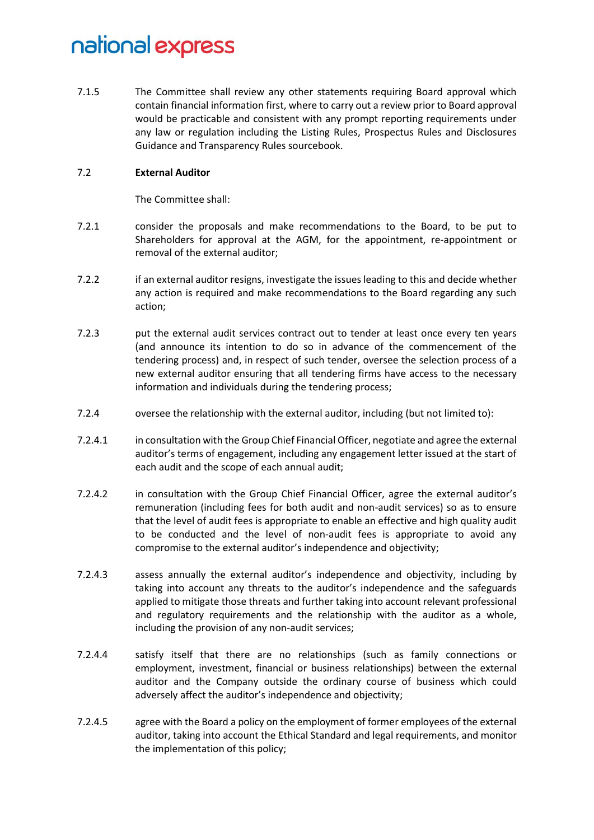7.1.5 The Committee shall review any other statements requiring Board approval which contain financial information first, where to carry out a review prior to Board approval would be practicable and consistent with any prompt reporting requirements under any law or regulation including the Listing Rules, Prospectus Rules and Disclosures Guidance and Transparency Rules sourcebook.

#### 7.2 **External Auditor**

The Committee shall:

- 7.2.1 consider the proposals and make recommendations to the Board, to be put to Shareholders for approval at the AGM, for the appointment, re-appointment or removal of the external auditor;
- 7.2.2 if an external auditor resigns, investigate the issues leading to this and decide whether any action is required and make recommendations to the Board regarding any such action;
- 7.2.3 put the external audit services contract out to tender at least once every ten years (and announce its intention to do so in advance of the commencement of the tendering process) and, in respect of such tender, oversee the selection process of a new external auditor ensuring that all tendering firms have access to the necessary information and individuals during the tendering process;
- 7.2.4 oversee the relationship with the external auditor, including (but not limited to):
- 7.2.4.1 in consultation with the Group Chief Financial Officer, negotiate and agree the external auditor's terms of engagement, including any engagement letter issued at the start of each audit and the scope of each annual audit;
- 7.2.4.2 in consultation with the Group Chief Financial Officer, agree the external auditor's remuneration (including fees for both audit and non-audit services) so as to ensure that the level of audit fees is appropriate to enable an effective and high quality audit to be conducted and the level of non-audit fees is appropriate to avoid any compromise to the external auditor's independence and objectivity;
- 7.2.4.3 assess annually the external auditor's independence and objectivity, including by taking into account any threats to the auditor's independence and the safeguards applied to mitigate those threats and further taking into account relevant professional and regulatory requirements and the relationship with the auditor as a whole, including the provision of any non-audit services;
- 7.2.4.4 satisfy itself that there are no relationships (such as family connections or employment, investment, financial or business relationships) between the external auditor and the Company outside the ordinary course of business which could adversely affect the auditor's independence and objectivity;
- 7.2.4.5 agree with the Board a policy on the employment of former employees of the external auditor, taking into account the Ethical Standard and legal requirements, and monitor the implementation of this policy;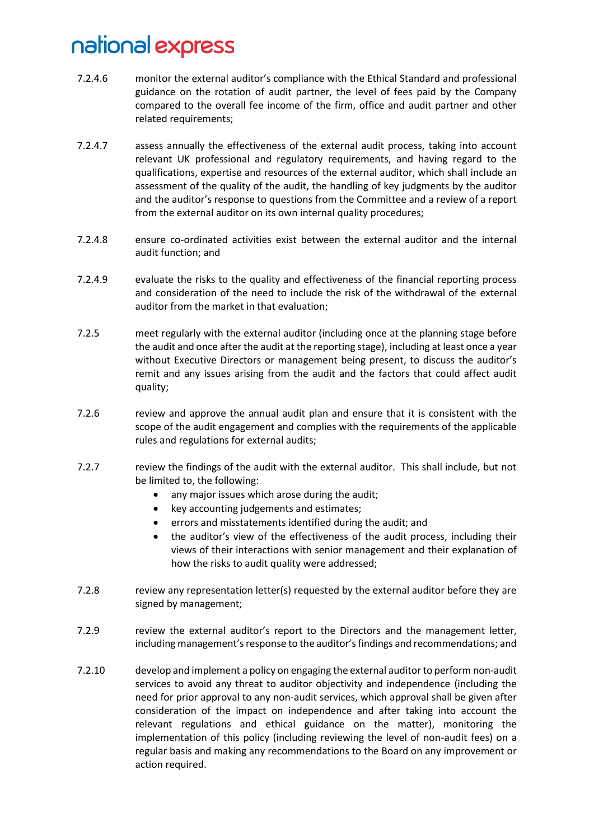- 7.2.4.6 monitor the external auditor's compliance with the Ethical Standard and professional guidance on the rotation of audit partner, the level of fees paid by the Company compared to the overall fee income of the firm, office and audit partner and other related requirements;
- 7.2.4.7 assess annually the effectiveness of the external audit process, taking into account relevant UK professional and regulatory requirements, and having regard to the qualifications, expertise and resources of the external auditor, which shall include an assessment of the quality of the audit, the handling of key judgments by the auditor and the auditor's response to questions from the Committee and a review of a report from the external auditor on its own internal quality procedures;
- 7.2.4.8 ensure co-ordinated activities exist between the external auditor and the internal audit function; and
- 7.2.4.9 evaluate the risks to the quality and effectiveness of the financial reporting process and consideration of the need to include the risk of the withdrawal of the external auditor from the market in that evaluation;
- 7.2.5 meet regularly with the external auditor (including once at the planning stage before the audit and once after the audit at the reporting stage), including at least once a year without Executive Directors or management being present, to discuss the auditor's remit and any issues arising from the audit and the factors that could affect audit quality;
- 7.2.6 review and approve the annual audit plan and ensure that it is consistent with the scope of the audit engagement and complies with the requirements of the applicable rules and regulations for external audits;
- 7.2.7 review the findings of the audit with the external auditor. This shall include, but not be limited to, the following:
	- any major issues which arose during the audit;
	- key accounting judgements and estimates;
	- errors and misstatements identified during the audit; and
	- the auditor's view of the effectiveness of the audit process, including their views of their interactions with senior management and their explanation of how the risks to audit quality were addressed;
- 7.2.8 review any representation letter(s) requested by the external auditor before they are signed by management;
- 7.2.9 review the external auditor's report to the Directors and the management letter, including management's response to the auditor's findings and recommendations; and
- 7.2.10 develop and implement a policy on engaging the external auditor to perform non-audit services to avoid any threat to auditor objectivity and independence (including the need for prior approval to any non-audit services, which approval shall be given after consideration of the impact on independence and after taking into account the relevant regulations and ethical guidance on the matter), monitoring the implementation of this policy (including reviewing the level of non-audit fees) on a regular basis and making any recommendations to the Board on any improvement or action required.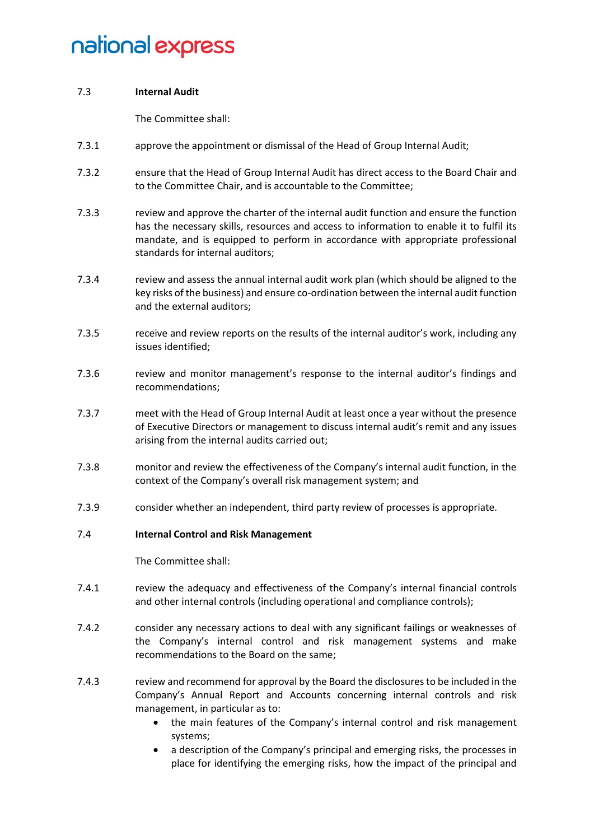#### 7.3 **Internal Audit**

The Committee shall:

- 7.3.1 approve the appointment or dismissal of the Head of Group Internal Audit;
- 7.3.2 ensure that the Head of Group Internal Audit has direct access to the Board Chair and to the Committee Chair, and is accountable to the Committee;
- 7.3.3 review and approve the charter of the internal audit function and ensure the function has the necessary skills, resources and access to information to enable it to fulfil its mandate, and is equipped to perform in accordance with appropriate professional standards for internal auditors;
- 7.3.4 review and assess the annual internal audit work plan (which should be aligned to the key risks of the business) and ensure co-ordination between the internal audit function and the external auditors;
- 7.3.5 receive and review reports on the results of the internal auditor's work, including any issues identified;
- 7.3.6 review and monitor management's response to the internal auditor's findings and recommendations;
- 7.3.7 meet with the Head of Group Internal Audit at least once a year without the presence of Executive Directors or management to discuss internal audit's remit and any issues arising from the internal audits carried out;
- 7.3.8 monitor and review the effectiveness of the Company's internal audit function, in the context of the Company's overall risk management system; and
- 7.3.9 consider whether an independent, third party review of processes is appropriate.

#### 7.4 **Internal Control and Risk Management**

The Committee shall:

- 7.4.1 review the adequacy and effectiveness of the Company's internal financial controls and other internal controls (including operational and compliance controls);
- 7.4.2 consider any necessary actions to deal with any significant failings or weaknesses of the Company's internal control and risk management systems and make recommendations to the Board on the same;
- 7.4.3 review and recommend for approval by the Board the disclosures to be included in the Company's Annual Report and Accounts concerning internal controls and risk management, in particular as to:
	- the main features of the Company's internal control and risk management systems;
	- a description of the Company's principal and emerging risks, the processes in place for identifying the emerging risks, how the impact of the principal and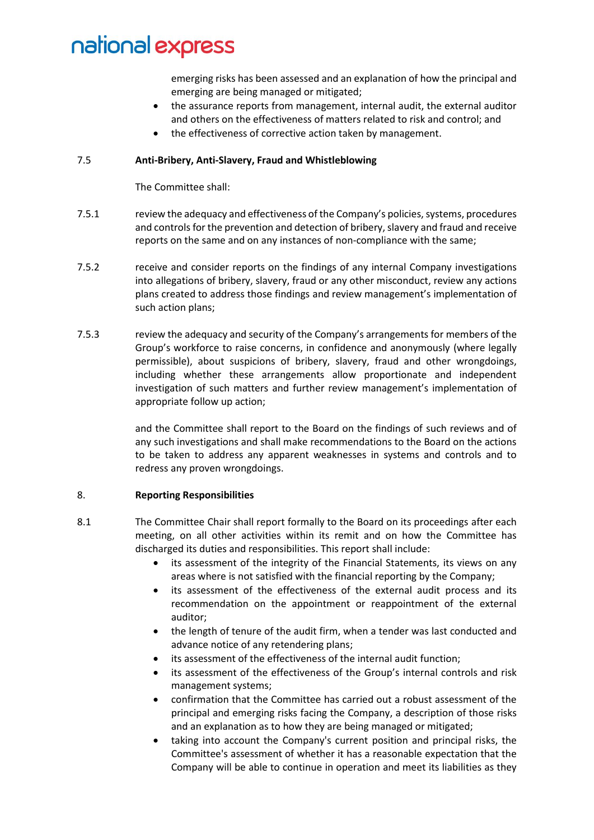emerging risks has been assessed and an explanation of how the principal and emerging are being managed or mitigated;

- the assurance reports from management, internal audit, the external auditor and others on the effectiveness of matters related to risk and control; and
- the effectiveness of corrective action taken by management.

#### 7.5 **Anti-Bribery, Anti-Slavery, Fraud and Whistleblowing**

The Committee shall:

- 7.5.1 review the adequacy and effectiveness of the Company's policies, systems, procedures and controls for the prevention and detection of bribery, slavery and fraud and receive reports on the same and on any instances of non-compliance with the same;
- 7.5.2 receive and consider reports on the findings of any internal Company investigations into allegations of bribery, slavery, fraud or any other misconduct, review any actions plans created to address those findings and review management's implementation of such action plans;
- 7.5.3 review the adequacy and security of the Company's arrangements for members of the Group's workforce to raise concerns, in confidence and anonymously (where legally permissible), about suspicions of bribery, slavery, fraud and other wrongdoings, including whether these arrangements allow proportionate and independent investigation of such matters and further review management's implementation of appropriate follow up action;

and the Committee shall report to the Board on the findings of such reviews and of any such investigations and shall make recommendations to the Board on the actions to be taken to address any apparent weaknesses in systems and controls and to redress any proven wrongdoings.

#### 8. **Reporting Responsibilities**

- 8.1 The Committee Chair shall report formally to the Board on its proceedings after each meeting, on all other activities within its remit and on how the Committee has discharged its duties and responsibilities. This report shall include:
	- its assessment of the integrity of the Financial Statements, its views on any areas where is not satisfied with the financial reporting by the Company;
	- its assessment of the effectiveness of the external audit process and its recommendation on the appointment or reappointment of the external auditor;
	- the length of tenure of the audit firm, when a tender was last conducted and advance notice of any retendering plans;
	- its assessment of the effectiveness of the internal audit function;
	- its assessment of the effectiveness of the Group's internal controls and risk management systems;
	- confirmation that the Committee has carried out a robust assessment of the principal and emerging risks facing the Company, a description of those risks and an explanation as to how they are being managed or mitigated;
	- taking into account the Company's current position and principal risks, the Committee's assessment of whether it has a reasonable expectation that the Company will be able to continue in operation and meet its liabilities as they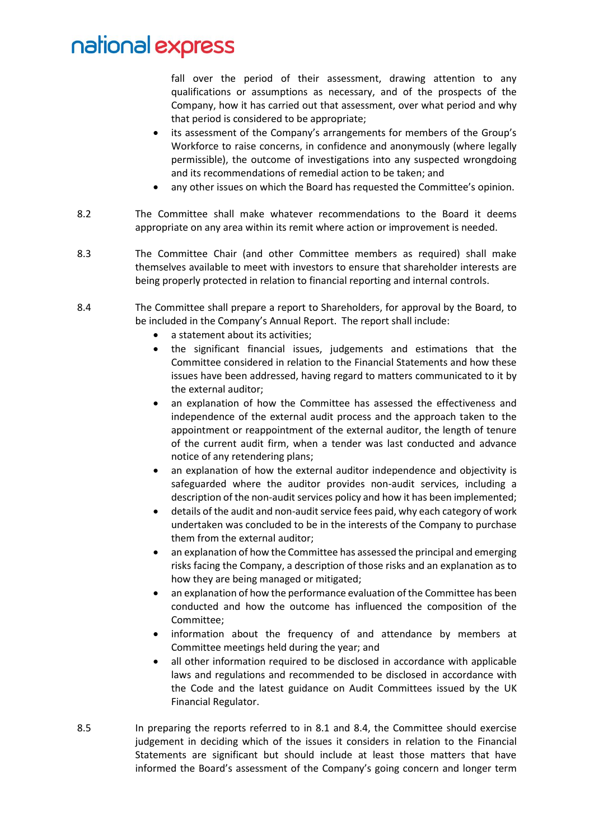fall over the period of their assessment, drawing attention to any qualifications or assumptions as necessary, and of the prospects of the Company, how it has carried out that assessment, over what period and why that period is considered to be appropriate;

- its assessment of the Company's arrangements for members of the Group's Workforce to raise concerns, in confidence and anonymously (where legally permissible), the outcome of investigations into any suspected wrongdoing and its recommendations of remedial action to be taken; and
- any other issues on which the Board has requested the Committee's opinion.
- 8.2 The Committee shall make whatever recommendations to the Board it deems appropriate on any area within its remit where action or improvement is needed.
- 8.3 The Committee Chair (and other Committee members as required) shall make themselves available to meet with investors to ensure that shareholder interests are being properly protected in relation to financial reporting and internal controls.
- 8.4 The Committee shall prepare a report to Shareholders, for approval by the Board, to be included in the Company's Annual Report. The report shall include:
	- a statement about its activities;
	- the significant financial issues, judgements and estimations that the Committee considered in relation to the Financial Statements and how these issues have been addressed, having regard to matters communicated to it by the external auditor;
	- an explanation of how the Committee has assessed the effectiveness and independence of the external audit process and the approach taken to the appointment or reappointment of the external auditor, the length of tenure of the current audit firm, when a tender was last conducted and advance notice of any retendering plans;
	- an explanation of how the external auditor independence and objectivity is safeguarded where the auditor provides non-audit services, including a description of the non-audit services policy and how it has been implemented;
	- details of the audit and non-audit service fees paid, why each category of work undertaken was concluded to be in the interests of the Company to purchase them from the external auditor;
	- an explanation of how the Committee has assessed the principal and emerging risks facing the Company, a description of those risks and an explanation as to how they are being managed or mitigated;
	- an explanation of how the performance evaluation of the Committee has been conducted and how the outcome has influenced the composition of the Committee;
	- information about the frequency of and attendance by members at Committee meetings held during the year; and
	- all other information required to be disclosed in accordance with applicable laws and regulations and recommended to be disclosed in accordance with the Code and the latest guidance on Audit Committees issued by the UK Financial Regulator.
- 8.5 In preparing the reports referred to in 8.1 and 8.4, the Committee should exercise judgement in deciding which of the issues it considers in relation to the Financial Statements are significant but should include at least those matters that have informed the Board's assessment of the Company's going concern and longer term